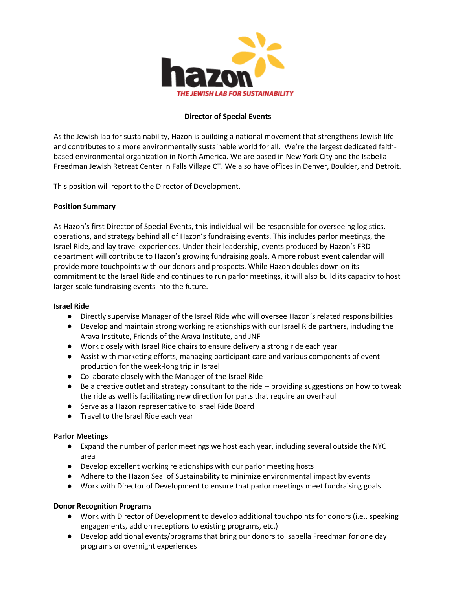

# **Director of Special Events**

As the Jewish lab for sustainability, Hazon is building a national movement that strengthens Jewish life and contributes to a more environmentally sustainable world for all. We're the largest dedicated faithbased environmental organization in North America. We are based in New York City and the Isabella Freedman Jewish Retreat Center in Falls Village CT. We also have offices in Denver, Boulder, and Detroit.

This position will report to the Director of Development.

### **Position Summary**

As Hazon's first Director of Special Events, this individual will be responsible for overseeing logistics, operations, and strategy behind all of Hazon's fundraising events. This includes parlor meetings, the Israel Ride, and lay travel experiences. Under their leadership, events produced by Hazon's FRD department will contribute to Hazon's growing fundraising goals. A more robust event calendar will provide more touchpoints with our donors and prospects. While Hazon doubles down on its commitment to the Israel Ride and continues to run parlor meetings, it will also build its capacity to host larger-scale fundraising events into the future.

### **Israel Ride**

- Directly supervise Manager of the Israel Ride who will oversee Hazon's related responsibilities
- Develop and maintain strong working relationships with our Israel Ride partners, including the Arava Institute, Friends of the Arava Institute, and JNF
- Work closely with Israel Ride chairs to ensure delivery a strong ride each year
- Assist with marketing efforts, managing participant care and various components of event production for the week-long trip in Israel
- Collaborate closely with the Manager of the Israel Ride
- Be a creative outlet and strategy consultant to the ride -- providing suggestions on how to tweak the ride as well is facilitating new direction for parts that require an overhaul
- Serve as a Hazon representative to Israel Ride Board
- Travel to the Israel Ride each year

### **Parlor Meetings**

- Expand the number of parlor meetings we host each year, including several outside the NYC area
- Develop excellent working relationships with our parlor meeting hosts
- Adhere to the Hazon Seal of Sustainability to minimize environmental impact by events
- Work with Director of Development to ensure that parlor meetings meet fundraising goals

### **Donor Recognition Programs**

- Work with Director of Development to develop additional touchpoints for donors (i.e., speaking engagements, add on receptions to existing programs, etc.)
- Develop additional events/programs that bring our donors to Isabella Freedman for one day programs or overnight experiences